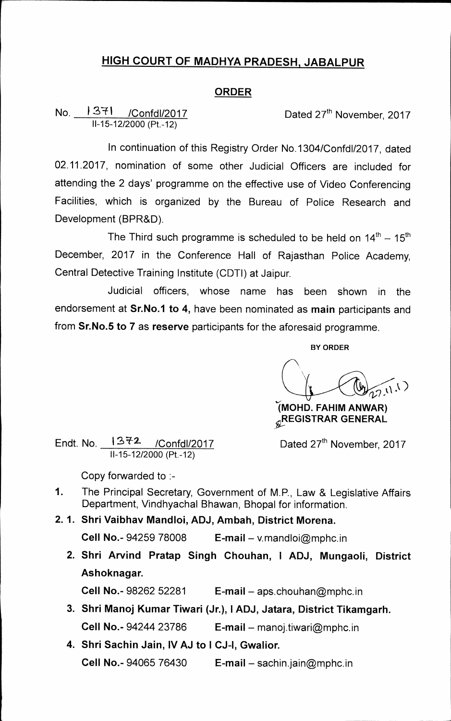# **HIGH COURT OF MADHYA PRADESH, JABALPUR**

### **ORDER**

No. 1371 /Confdl/2017 **Dated 27<sup>th</sup> November, 2017 11-15-12/2000 (Pt.-12)** 

**In continuation of this Registry Order No.1304/Confd1/2017, dated 02.11.2017, nomination of some other Judicial Officers are included for attending the 2 days' programme on the effective use of Video Conferencing Facilities, which is organized by the Bureau of Police Research and Development (BPR&D).** 

The Third such programme is scheduled to be held on  $14^{\text{th}} - 15^{\text{th}}$ **December, 2017 in the Conference Hall of Rajasthan Police Academy, Central Detective Training Institute (CDTI) at Jaipur.** 

**Judicial officers, whose name has been shown in the endorsement at Sr.No.1 to 4, have been nominated as main participants and from Sr.No.5 to 7 as reserve participants for the aforesaid programme.** 

**BY ORDER** 

**(2/.7** 

**%1MOHD. FAHIM ANWAR) REGISTRAR GENERAL** 

Endt. No. 13<sup>72</sup> /Confdl/2017 Dated 27<sup>th</sup> November, 2017 **11-15-12/2000 (Pt.-12)** 

**Copy forwarded to :-** 

- **1. The Principal Secretary, Government of M.P., Law & Legislative Affairs Department, Vindhyachal Bhawan, Bhopal for information.**
- **2. 1. Shri Vaibhav Mandloi, ADJ, Ambah, District Morena.**

**Cell No.- 94259 78008 E-mail — v.mandloi@mphc.in** 

**2. Shri Arvind Pratap Singh Chouhan, I ADJ, Mungaoli, District Ashoknagar.** 

**Cell No.- 98262 52281 E-mail — aps.chouhan@mphc.in** 

- **3. Shri Manoj Kumar Tiwari (Jr.), I ADJ, Jatara, District Tikamgarh. Cell No.- 94244 23786 E-mail — manoj.tiwari@mphc.in**
- **4. Shri Sachin Jain, iv AJ to I CJ-I, Gwalior. Cell No.- 94065 76430 E-mail — sachin.jain@mphc.in**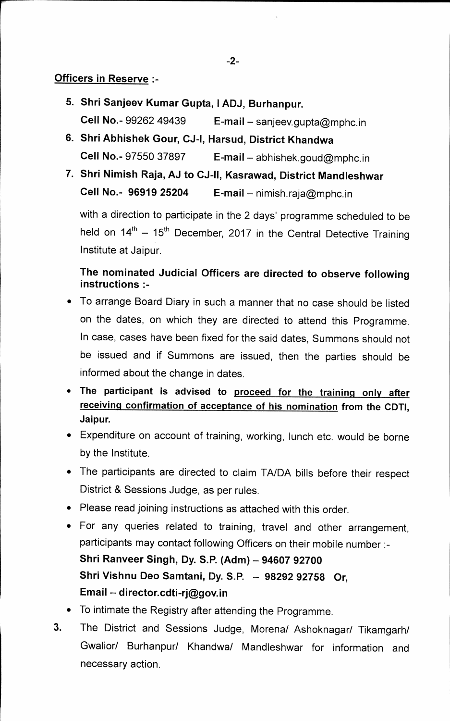$-2-$ 

## **Officers in Reserve**

- **5. Shri Sanjeev Kumar Gupta, I ADJ, Burhanpur. Cell No.- 99262 49439 E-mail — sanjeev.gupta@mphc.in**
- **6. Shri Abhishek Cour, CJ-1, Harsud, District Khandwa Cell No.- 97550 37897 E-mail — abhishek.goud@mphc.in**
- **7. Shri Nimish Raja, AJ to CJ-II, Kasrawad, District Mandleshwar Cell No.- 96919 25204 E-mail — nimish.raja@mphc.in**

**with a direction to participate in the 2 days' programme scheduled to be**  held on 14<sup>th</sup> - 15<sup>th</sup> December, 2017 in the Central Detective Training **Institute at Jaipur.** 

## **The nominated Judicial Officers are directed to observe following instructions :-**

- **To arrange Board Diary in such a manner that no case should be listed on the dates, on which they are directed to attend this Programme. In case, cases have been fixed for the said dates, Summons should not be issued and if Summons are issued, then the parties should be informed about the change in dates.**
- **The participant is advised to proceed for the training only after receiving confirmation of acceptance of his nomination from the CDTI, Jaipur.**
- **Expenditure on account of training, working, lunch etc. would be borne by the Institute.**
- **The participants are directed to claim TA/DA bills before their respect District & Sessions Judge, as per rules.**
- **Please read joining instructions as attached with this order.**
- **For any queries related to training, travel and other arrangement,**  participants may contact following Officers on their mobile number :-**Shri Ranveer Singh, Dy. S.P. (Adm) — 94607 92700 Shri Vishnu Deo Samtani, Dy. S.P. — 98292 92758 Or, Email — director.cdti-rj@gov.in**
- **To intimate the Registry after attending the Programme.**
- **3. The District and Sessions Judge, Morena/ Ashoknagar/ Tikamgarh/ Gwalior/ Burhanpur/ Khandwa/ Mandleshwar for information and necessary action.**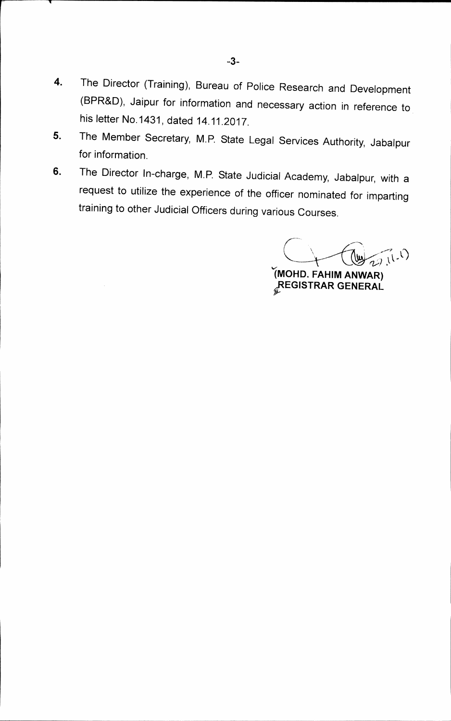- **4. The Director (Training), Bureau of Police Research and Development (BPR&D), Jaipur for information and necessary action in reference to his letter No.1431, dated 14.11.2017.**
- **5. The Member Secretary, M.P. State Legal Services Authority, Jabalpur for information.**
- **6. The Director In-charge, M.P. State Judicial Academy, Jabalpur, with a request to utilize the experience of the officer nominated for imparting training to other Judicial Officers during various Courses.**

 $27,10$ بلا)

**'(1VIOHD. FAHIM AN WAR) jEGISTRAR GENERAL**